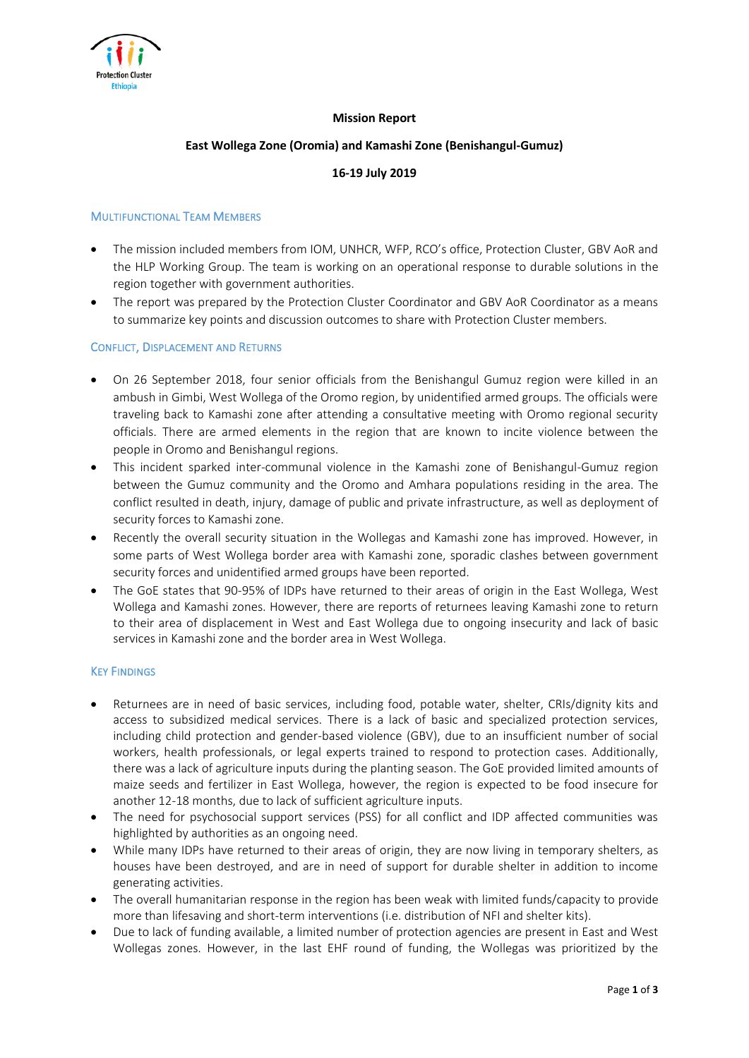

# **Mission Report**

## **East Wollega Zone (Oromia) and Kamashi Zone (Benishangul-Gumuz)**

# **16-19 July 2019**

## MULTIFUNCTIONAL TEAM MEMBERS

- The mission included members from IOM, UNHCR, WFP, RCO's office, Protection Cluster, GBV AoR and the HLP Working Group. The team is working on an operational response to durable solutions in the region together with government authorities.
- The report was prepared by the Protection Cluster Coordinator and GBV AoR Coordinator as a means to summarize key points and discussion outcomes to share with Protection Cluster members.

### CONFLICT, DISPLACEMENT AND RETURNS

- On 26 September 2018, four senior officials from the Benishangul Gumuz region were killed in an ambush in Gimbi, West Wollega of the Oromo region, by unidentified armed groups. The officials were traveling back to Kamashi zone after attending a consultative meeting with Oromo regional security officials. There are armed elements in the region that are known to incite violence between the people in Oromo and Benishangul regions.
- This incident sparked inter-communal violence in the Kamashi zone of Benishangul-Gumuz region between the Gumuz community and the Oromo and Amhara populations residing in the area. The conflict resulted in death, injury, damage of public and private infrastructure, as well as deployment of security forces to Kamashi zone.
- Recently the overall security situation in the Wollegas and Kamashi zone has improved. However, in some parts of West Wollega border area with Kamashi zone, sporadic clashes between government security forces and unidentified armed groups have been reported.
- The GoE states that 90-95% of IDPs have returned to their areas of origin in the East Wollega, West Wollega and Kamashi zones. However, there are reports of returnees leaving Kamashi zone to return to their area of displacement in West and East Wollega due to ongoing insecurity and lack of basic services in Kamashi zone and the border area in West Wollega.

### KEY FINDINGS

- Returnees are in need of basic services, including food, potable water, shelter, CRIs/dignity kits and access to subsidized medical services. There is a lack of basic and specialized protection services, including child protection and gender-based violence (GBV), due to an insufficient number of social workers, health professionals, or legal experts trained to respond to protection cases. Additionally, there was a lack of agriculture inputs during the planting season. The GoE provided limited amounts of maize seeds and fertilizer in East Wollega, however, the region is expected to be food insecure for another 12-18 months, due to lack of sufficient agriculture inputs.
- The need for psychosocial support services (PSS) for all conflict and IDP affected communities was highlighted by authorities as an ongoing need.
- While many IDPs have returned to their areas of origin, they are now living in temporary shelters, as houses have been destroyed, and are in need of support for durable shelter in addition to income generating activities.
- The overall humanitarian response in the region has been weak with limited funds/capacity to provide more than lifesaving and short-term interventions (i.e. distribution of NFI and shelter kits).
- Due to lack of funding available, a limited number of protection agencies are present in East and West Wollegas zones. However, in the last EHF round of funding, the Wollegas was prioritized by the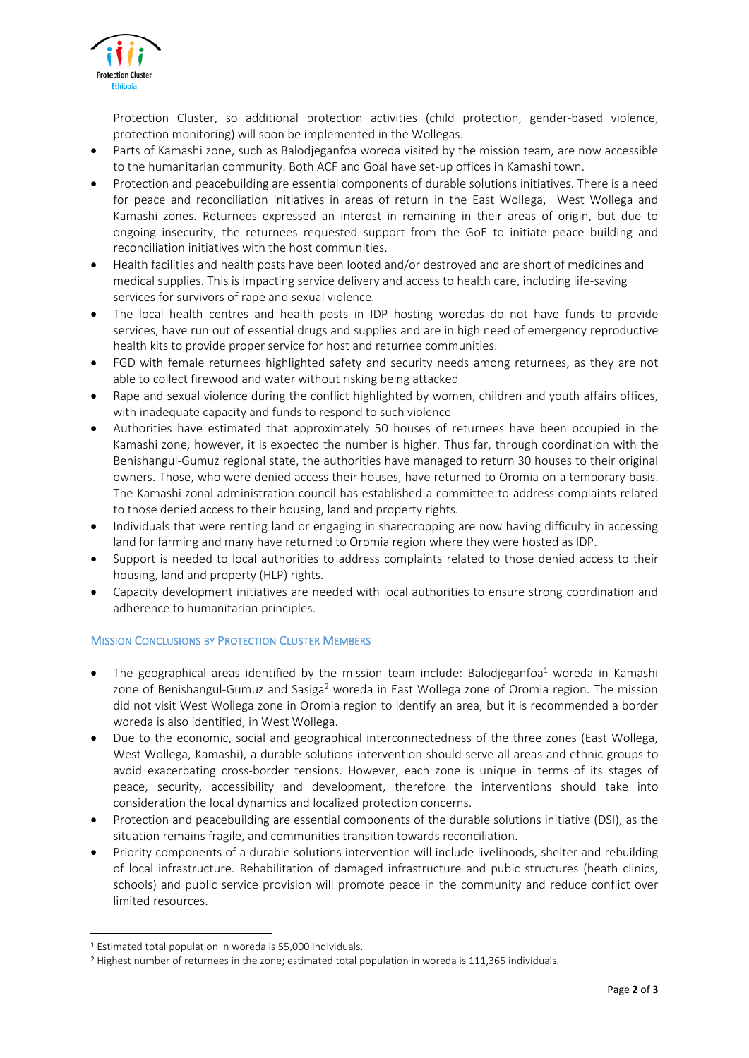

Protection Cluster, so additional protection activities (child protection, gender-based violence, protection monitoring) will soon be implemented in the Wollegas.

- Parts of Kamashi zone, such as Balodjeganfoa woreda visited by the mission team, are now accessible to the humanitarian community. Both ACF and Goal have set-up offices in Kamashi town.
- Protection and peacebuilding are essential components of durable solutions initiatives. There is a need for peace and reconciliation initiatives in areas of return in the East Wollega, West Wollega and Kamashi zones. Returnees expressed an interest in remaining in their areas of origin, but due to ongoing insecurity, the returnees requested support from the GoE to initiate peace building and reconciliation initiatives with the host communities.
- Health facilities and health posts have been looted and/or destroyed and are short of medicines and medical supplies. This is impacting service delivery and access to health care, including life-saving services for survivors of rape and sexual violence.
- The local health centres and health posts in IDP hosting woredas do not have funds to provide services, have run out of essential drugs and supplies and are in high need of emergency reproductive health kits to provide proper service for host and returnee communities.
- FGD with female returnees highlighted safety and security needs among returnees, as they are not able to collect firewood and water without risking being attacked
- Rape and sexual violence during the conflict highlighted by women, children and youth affairs offices, with inadequate capacity and funds to respond to such violence
- Authorities have estimated that approximately 50 houses of returnees have been occupied in the Kamashi zone, however, it is expected the number is higher. Thus far, through coordination with the Benishangul-Gumuz regional state, the authorities have managed to return 30 houses to their original owners. Those, who were denied access their houses, have returned to Oromia on a temporary basis. The Kamashi zonal administration council has established a committee to address complaints related to those denied access to their housing, land and property rights.
- Individuals that were renting land or engaging in sharecropping are now having difficulty in accessing land for farming and many have returned to Oromia region where they were hosted as IDP.
- Support is needed to local authorities to address complaints related to those denied access to their housing, land and property (HLP) rights.
- Capacity development initiatives are needed with local authorities to ensure strong coordination and adherence to humanitarian principles.

# **MISSION CONCLUSIONS BY PROTECTION CLUSTER MEMBERS**

- The geographical areas identified by the mission team include: Balodjeganfoa<sup>1</sup> woreda in Kamashi zone of Benishangul-Gumuz and Sasiga<sup>2</sup> woreda in East Wollega zone of Oromia region. The mission did not visit West Wollega zone in Oromia region to identify an area, but it is recommended a border woreda is also identified, in West Wollega.
- Due to the economic, social and geographical interconnectedness of the three zones (East Wollega, West Wollega, Kamashi), a durable solutions intervention should serve all areas and ethnic groups to avoid exacerbating cross-border tensions. However, each zone is unique in terms of its stages of peace, security, accessibility and development, therefore the interventions should take into consideration the local dynamics and localized protection concerns.
- Protection and peacebuilding are essential components of the durable solutions initiative (DSI), as the situation remains fragile, and communities transition towards reconciliation.
- Priority components of a durable solutions intervention will include livelihoods, shelter and rebuilding of local infrastructure. Rehabilitation of damaged infrastructure and pubic structures (heath clinics, schools) and public service provision will promote peace in the community and reduce conflict over limited resources.

**.** 

<sup>1</sup> Estimated total population in woreda is 55,000 individuals.

<sup>2</sup> Highest number of returnees in the zone; estimated total population in woreda is 111,365 individuals.